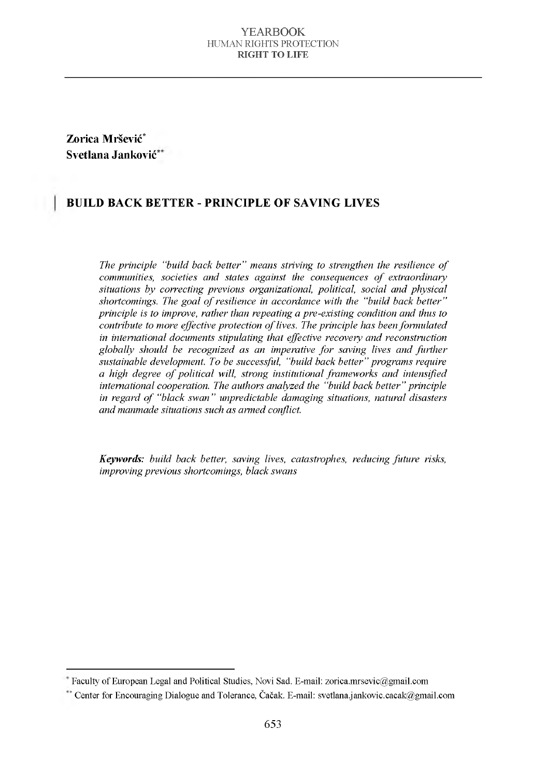**Zorica Mršević\* Svetlana Janković\***

### **BUILD BACK BETTER - PRINCIPLE OF SAVING LIVES**

*The principle "build back better" means striving to strengthen the resilience of communities, societies and states against the consequences of extraordinary* situations by correcting previous organizational, political, social and physical shortcomings. The goal of resilience in accordance with the "build back better" *principle is to improve, rather than repeating a pre-existing condition and thus to contribute to more effective protection of lives. The principle has been formulated in international documents stipulating that effective recovery and reconstruction globally should be recognized as an imperative for saving lives and further* sustainable development. To be successful, "build back better" programs require *a high degree of political will, strong institutional frameworks and intensified international cooperation. The authors analyzed the "build back better" principle in regard of "black swan" unpredictable damaging situations, natural disasters and manmade situations such as armed conflict.* 

*Keywords: build back better, saving lives, catastrophes, reducing future risks, im proving previous shortcom ings, black sw ans*

Faculty of European Legal and Political Studies, Novi Sad. E-mail: [zorica.mrsevic@gmail.com](mailto:zorica.mrsevic@gmail.com)

<sup>\*</sup> Center for Encouraging Dialogue and Tolerance, Čačak. E-mail: [svetlana.jankovic.cacak@gmail.com](mailto:svetlana.jankovic.cacak@gmail.com)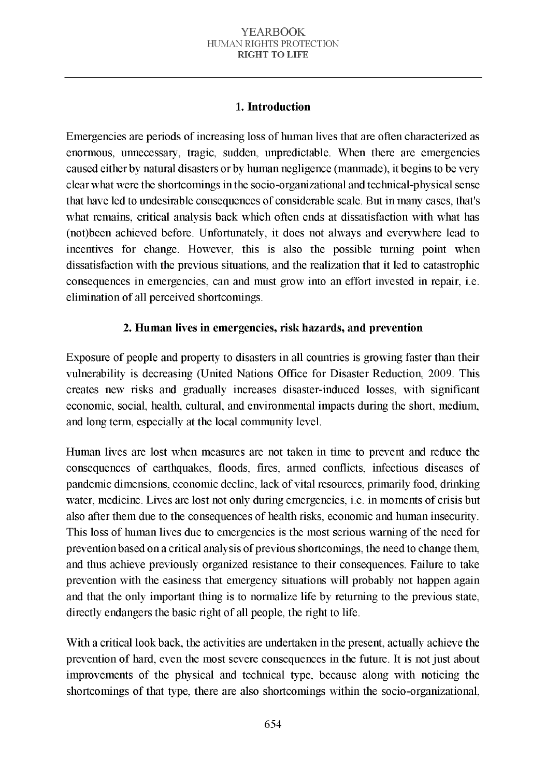# 1. Introduction

Emergencies are periods of increasing loss of human lives that are often characterized as enormous, unnecessary, tragic, sudden, unpredictable. When there are emergencies caused either by natural disasters or by human negligence (manmade), it begins to be very clear what were the shortcomings in the socio-organizational and technical-physical sense that have led to undesirable consequences of considerable scale. But in many cases, that's what remains, critical analysis back which often ends at dissatisfaction with what has (not)been achieved before. Unfortunately, it does not always and everywhere lead to incentives for change. However, this is also the possible turning point when dissatisfaction with the previous situations, and the realization that it led to catastrophic consequences in emergencies, can and must grow into an effort invested in repair, *i.e.* elimination of all perceived shortcomings.

# 2. Human lives in emergencies, risk hazards, and prevention

Exposure of people and property to disasters in all countries is growing faster than their vulnerability is decreasing (United Nations Office for Disaster Reduction, 2009. This creates new risks and gradually increases disaster-induced losses, with significant economic, social, health, cultural, and environmental impacts during the short, medium, and long term, especially at the local community level.

Human lives are lost when measures are not taken in time to prevent and reduce the consequences of earthquakes, floods, fires, armed conflicts, infectious diseases of pandemic dimensions, economic decline, lack of vital resources, primarily food, drinking water, medicine. Lives are lost not only during emergencies, i.e. in moments of crisis but also after them due to the consequences of health risks, economic and human insecurity. This loss of human lives due to emergencies is the most serious warning of the need for prevention based on a critical analysis of previous shortcomings, the need to change them, and thus achieve previously organized resistance to their consequences. Failure to take prevention with the easiness that emergency situations will probably not happen again and that the only important thing is to normalize life by returning to the previous state, directly endangers the basic right of all people, the right to life.

With a critical look back, the activities are undertaken in the present, actually achieve the prevention of hard, even the most severe consequences in the future. It is not just about improvements of the physical and technical type, because along with noticing the shortcomings of that type, there are also shortcomings within the socio-organizational,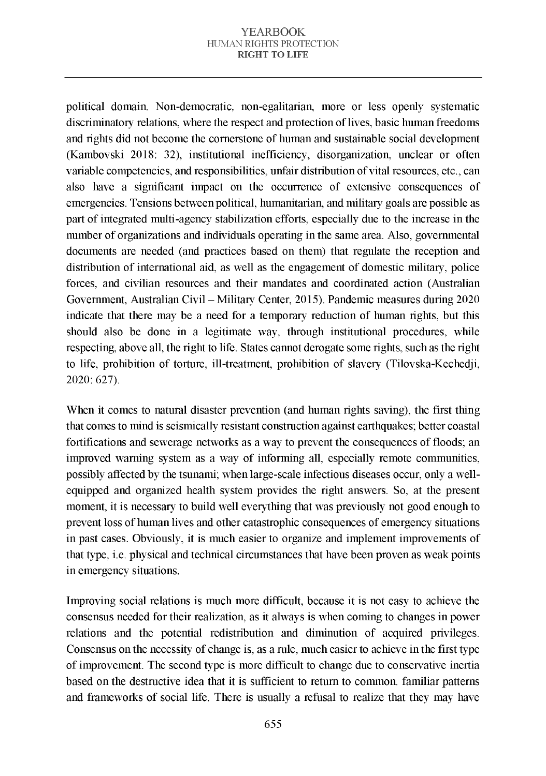political domain. Non-democratic, non-egalitarian, more or less openly systematic discriminatory relations, where the respect and protection of lives, basic human freedoms and rights did not become the cornerstone of human and sustainable social development (Kambovski 2018: 32), institutional inefficiency, disorganization, unclear or often variable competencies, and responsibilities, unfair distribution of vital resources, etc., can also have a significant impact on the occurrence of extensive consequences of emergencies. Tensions between political, humanitarian, and military goals are possible as part of integrated multi-agency stabilization efforts, especially due to the increase in the number of organizations and individuals operating in the same area. Also, governmental documents are needed (and practices based on them) that regulate the reception and distribution of international aid, as well as the engagement of domestic military, police forces, and civilian resources and their mandates and coordinated action (Australian Government, Australian Civil - Military Center, 2015). Pandemic measures during 2020 indicate that there may be a need for a temporary reduction of human rights, but this should also be done in a legitimate way, through institutional procedures, while respecting, above all, the right to life. States cannot derogate some rights, such as the right to life, prohibition of torture, ill-treatment, prohibition of slavery (Tilovska-Kechedii, 2020: 627).

When it comes to natural disaster prevention (and human rights saying), the first thing that comes to mind is seismically resistant construction against earthquakes; better coastal fortifications and sewerage networks as a way to prevent the consequences of floods; an improved warning system as a way of informing all, especially remote communities, possibly affected by the tsunami; when large-scale infectious diseases occur, only a wellequipped and organized health system provides the right answers. So, at the present moment, it is necessary to build well every thing that was previously not good enough to prevent loss of human lives and other catastrophic consequences of emergency situations in past cases. Obviously, it is much easier to organize and implement improvements of that type, i.e. physical and technical circumstances that have been proven as weak points in emergency situations.

Improving social relations is much more difficult, because it is not easy to achieve the consensus needed for their realization, as it always is when coming to changes in power relations and the potential redistribution and diminution of acquired privileges. Consensus on the necessity of change is, as a rule, much easier to achieve in the first type of improvement. The second type is more difficult to change due to conservative inertia based on the destructive idea that it is sufficient to return to common. familiar patterns and frameworks of social life. There is usually a refusal to realize that they may have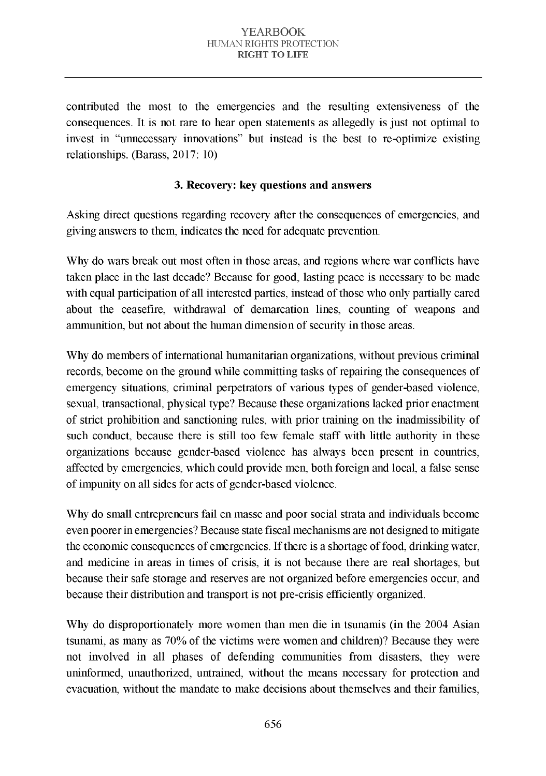contributed the most to the emergencies and the resulting extensiveness of the consequences. It is not rare to hear open statements as allegedly is just not optimal to invest in "unnecessary innovations" but instead is the best to re-optimize existing relationships. (Barass,  $2017:10$ )

## 3. Recovery: key questions and answers

Asking direct questions regarding recovery after the consequences of emergencies, and giving answers to them, indicates the need for adequate prevention.

Why do wars break out most often in those areas, and regions where war conflicts have taken place in the last decade? Because for good, lasting peace is necessary to be made with equal participation of all interested parties, instead of those who only partially cared about the ceasefire, withdrawal of demarcation lines, counting of weapons and am munition, but not about the human dimension of security in those areas.

Why do members of international humanitarian organizations, without previous criminal records, become on the ground while committing tasks of repairing the consequences of em ergency situations, criminal perpetrators of various types of gender-based violence, sexual, transactional, physical type? Because these organizations lacked prior enactment of strict prohibition and sanctioning rules, with prior training on the inadmissibility of such conduct, because there is still too few female staff with little authority in these organizations because gender-based violence has always been present in countries, affected by emergencies, which could provide men, both foreign and local, a false sense of impunity on all sides for acts of gender-based violence.

Why do small entrepreneurs fail en masse and poor social strata and individuals become even poorer in emergencies? Because state fiscal mechanisms are not designed to mitigate the economic consequences of emergencies. If there is a shortage of food, drinking water, and medicine in areas in times of crisis, it is not because there are real shortages, but because their safe storage and reserves are not organized before emergencies occur, and because their distribution and transport is not pre-crisis efficiently organized.

Why do disproportionately more women than men die in tsunamis (in the 2004 Asian tsunami, as many as 70% of the victims were women and children)? Because they were not involved in all phases of defending communities from disasters, they were uninformed, unauthorized, untrained, without the means necessary for protection and evacuation, without the mandate to make decisions about themselves and their families.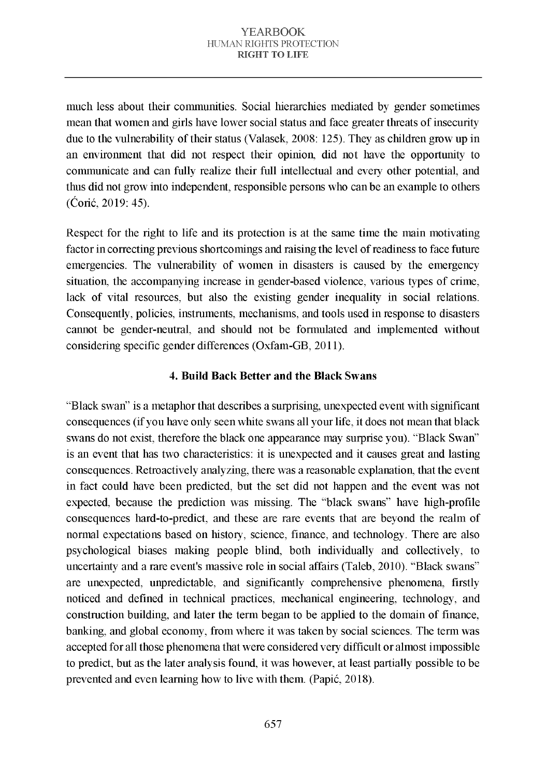much less about their communities. Social hierarchies mediated by gender sometimes mean that women and girls have lower social status and face greater threats of insecurity due to the vulnerability of their status (Valasek, 2008: 125). They as children grow up in an environment that did not respect their opinion, did not have the opportunity to communicate and can fully realize their full intellectual and every other potential, and thus did not grow into independent, responsible persons who can be an example to others  $($ Ć orić, 2019: 45).

Respect for the right to life and its protection is at the same time the main motivating factor in correcting previous shortcomings and raising the level of readiness to face future emergencies. The vulnerability of women in disasters is caused by the emergency situation, the accompanying increase in gender-based violence, various types of crime. lack of vital resources, but also the existing gender inequality in social relations. Consequently, policies, instruments, mechanisms, and tools used in response to disasters cannot be gender-neutral, and should not be formulated and implemented without considering specific gender differences (Oxfam-GB, 2011).

## 4. Build Back Better and the Black Swans

"Black swan" is a metaphor that describes a surprising, unexpected event with significant consequences (if you have only seen white swans all your life, it does not mean that black swans do not exist, therefore the black one appearance may surprise you). "Black Swan" is an event that has two characteristics: it is unexpected and it causes great and lasting consequences. Retroactively analyzing, there was a reasonable explanation, that the event in fact could have been predicted, but the set did not happen and the event was not expected, because the prediction was missing. The "black swans" have high-profile consequences hard-to-predict, and these are rare events that are beyond the realm of normal expectations based on history, science, finance, and technology. There are also psy chological biases making people blind, both individually and collectively, to uncertainty and a rare event's massive role in social affairs (Taleb, 2010). "Black swans" are unexpected, unpredictable, and significantly comprehensive phenomena, firstly noticed and defined in technical practices, mechanical engineering, technology, and construction building, and later the term began to be applied to the domain of finance, banking, and global economy, from where it was taken by social sciences. The term was accepted for all those phenomena that were considered very difficult or almost impossible to predict, but as the later analysis found, it was however, at least partially possible to be prevented and even learning how to live with them. (Papić, 2018).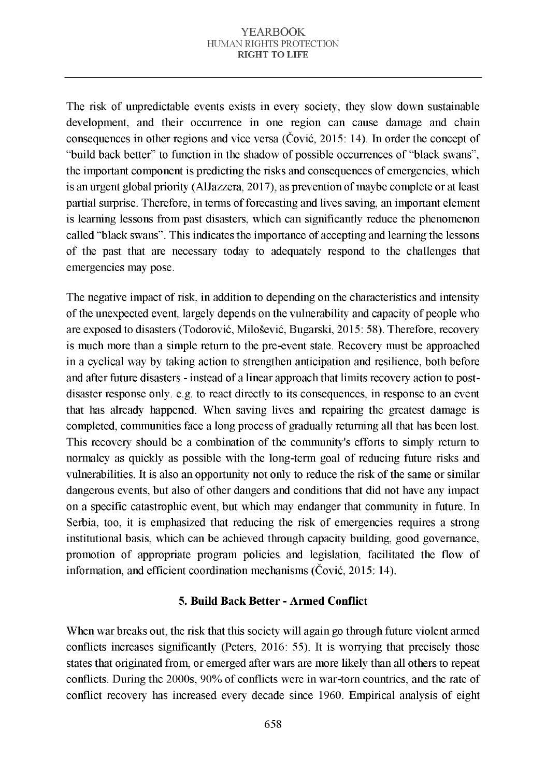The risk of unpredictable events exists in every society, they slow down sustainable development, and their occurrence in one region can cause damage and chain consequences in other regions and vice versa (Čović, 2015: 14). In order the concept of "build back better" to function in the shadow of possible occurrences of "black swans". the important component is predicting the risks and consequences of emergencies, which is an urgent global priority (AlJazzera, 2017), as prevention of maybe complete or at least partial surprise. Therefore, in terms of forecasting and lives saving, an important element is learning lessons from past disasters, which can significantly reduce the phenomenon called "black swans". This indicates the importance of accepting and learning the lessons of the past that are necessary today to adequately respond to the challenges that emergencies may pose.

The negative impact of risk, in addition to depending on the characteristics and intensity of the unexpected event, largely depends on the vulnerability and capacity of people who are exposed to disasters (Todorović, Milošević, Bugarski, 2015: 58). Therefore, recovery is much more than a simple return to the pre-event state. Recovery must be approached in a cyclical way by taking action to strengthen anticipation and resilience, both before and after future disasters - instead of a linear approach that limits recovery action to postdisaster response only. e.g. to react directly to its consequences, in response to an event that has already happened. When saying lives and repairing the greatest damage is completed, communities face a long process of gradually returning all that has been lost. This recovery should be a combination of the community's efforts to simply return to normalcy as quickly as possible with the long-term goal of reducing future risks and vulnerabilities. It is also an opportunity not only to reduce the risk of the same or similar dangerous events, but also of other dangers and conditions that did not have any impact on a specific catastrophic event, but which may endanger that community in future. In Serbia, too, it is emphasized that reducing the risk of emergencies requires a strong institutional basis, which can be achieved through capacity building, good governance, promotion of appropriate program policies and legislation, facilitated the flow of information, and efficient coordination mechanisms ( $\check{C}$ ović, 2015: 14).

### 5. Build Back Better - Armed Conflict

When war breaks out, the risk that this society will again go through future violent armed conflicts increases significantly (Peters, 2016: 55). It is worrying that precisely those states that originated from, or emerged after wars are more likely than all others to repeat conflicts. During the 2000s, 90% of conflicts were in war-torn countries, and the rate of conflict recovery has increased every decade since 1960. Empirical analysis of eight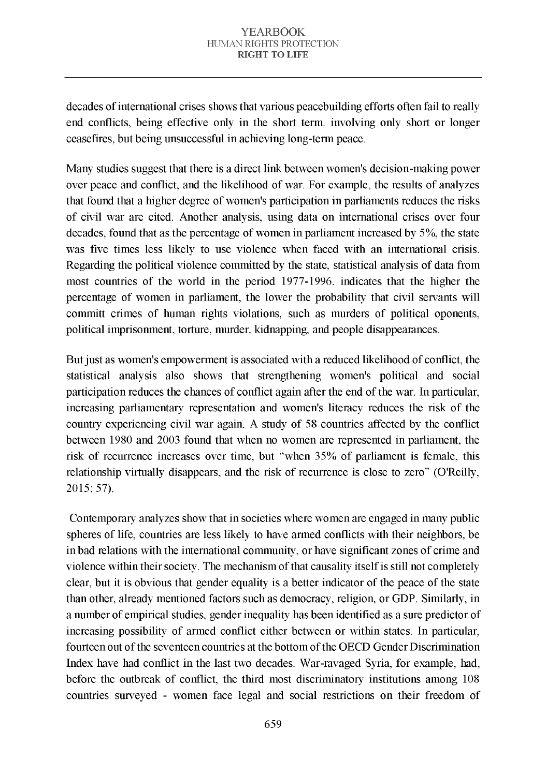decades of international crises shows that various peacebuilding efforts often fail to really end conflicts, being effective only in the short term, involving only short or longer ceasefires, but being unsuccessful in achieving long-term peace.

Many studies suggest that there is a direct link between women's decision-making power over peace and conflict, and the likelihood of war. For example, the results of analyzes that found that a higher degree of women's participation in parliaments reduces the risks of civil war are cited. Another analysis, using data on international crises over four decades, found that as the percentage of women in parliament increased by 5%, the state was five times less likely to use violence when faced with an international crisis. Regarding the political violence committed by the state, statistical analysis of data from most countries of the world in the period 1977-1996. indicates that the higher the percentage of women in parliament, the lower the probability that civil servants will committ crimes of human rights violations, such as murders of political oponents, political imprisonment, torture, murder, kidnapping, and people disappearances.

But just as women's empowerment is associated with a reduced likelihood of conflict, the statistical analysis also shows that strengthening women's political and social participation reduces the chances of conflict again after the end of the war. In particular, increasing parliamentary representation and women's literacy reduces the risk of the country experiencing civil war again. A study of 58 countries affected by the conflict between 1980 and 2003 found that when no women are represented in parliament, the risk of recurrence increases over time, but "when 35% of parliament is female, this relationship virtually disappears, and the risk of recurrence is close to zero" (O'Reilly, 2015: 57).

Contemporary analyzes show that in societies where women are engaged in many public spheres of life, countries are less likely to have armed conflicts with their neighbors, be in bad relations with the international community, or have significant zones of crime and violence within their society. The mechanism of that causality itself is still not completely clear, but it is obvious that gender equality is a better indicator of the peace of the state than other, already mentioned factors such as democracy, religion, or GDP. Similarly, in a number of empirical studies, gender inequality has been identified as a sure predictor of increasing possibility of armed conflict either between or within states. In particular, fourteen out of the seventeen countries at the bottom of the OECD Gender Discrimination Index have had conflict in the last two decades. War-ravaged Syria, for example, had, before the outbreak of conflict, the third most discriminatory institutions among 108 countries surveyed - women face legal and social restrictions on their freedom of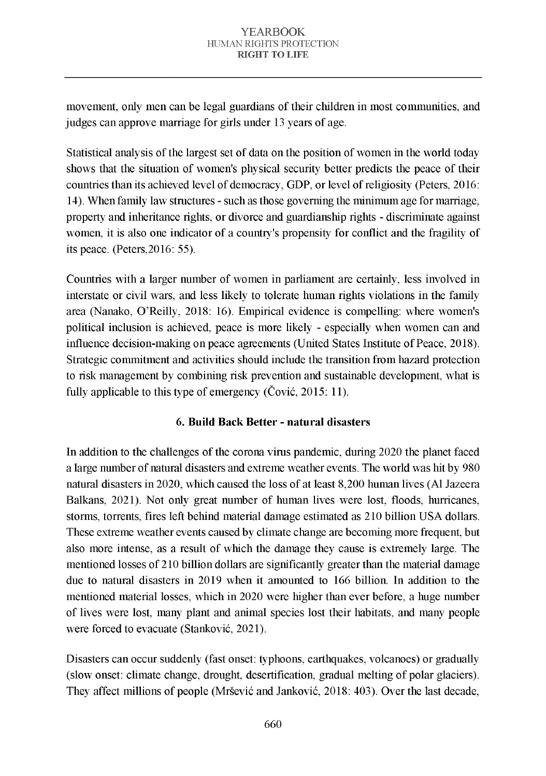movement, only men can be legal guardians of their children in most communities, and judges can approve marriage for girls under 13 years of age.

Statistical analysis of the largest set of data on the position of women in the world today shows that the situation of women's physical security better predicts the peace of their countries than its achieved level of democracy, GDP, or level of religiosity (Peters, 2016: 14). When family law structures - such as those governing the minimum age for marriage. property and inheritance rights, or divorce and guardianship rights - discriminate against women, it is also one indicator of a country's propensity for conflict and the fragility of its peace. (Peters,  $2016:55$ ).

Countries with a larger number of women in parliament are certainly, less involved in interstate or civil wars, and less likely to tolerate human rights violations in the family area (Nanako, O'Reilly, 2018: 16). Empirical evidence is compelling: where women's political inclusion is achieved, peace is more likely - especially when women can and influence decision-making on peace agreements (United States Institute of Peace, 2018). Strategic commitment and activities should include the transition from hazard protection to risk management by combining risk prevention and sustainable development, what is fully applicable to this type of emergency (Čović, 2015: 11).

# 6. Build Back Better - natural disasters

In addition to the challenges of the corona virus pandemic, during 2020 the planet faced a large number of natural disasters and extreme weather events. The world was hit by 980 natural disasters in 2020, which caused the loss of at least 8,200 h uman lives (Al Jazeera Balkans, 2021). Not only great number of human lives were lost, floods, hurricanes, storms, torrents, fires left behind material damage estimated as 210 billion USA dollars. These extreme weather events caused by climate change are becoming more frequent, but also more intense, as a result of which the damage they cause is extremely large. The mentioned losses of 210 billion dollars are significantly greater than the material damage due to natural disasters in 2019 when it amounted to 166 billion. In addition to the mentioned material losses, which in 2020 were higher than ever before, a huge number of lives were lost, many plant and animal species lost their habitats, and many people were forced to evacuate (Stanković, 2021).

Disasters can occur suddenly (fast onset: typhoons, earthquakes, volcanoes) or gradually (slow onset: climate change, drought, desertification, gradual melting of polar glaciers). They affect millions of people (Mršević and Janković, 2018: 403). Over the last decade,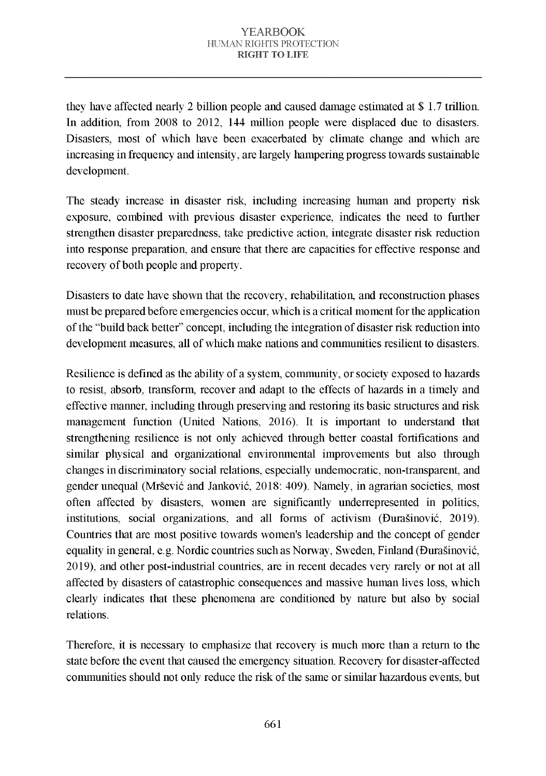they have affected nearly 2 billion people and caused damage estimated at  $\frac{1}{2}$  1.7 trillion. In addition, from 2008 to 2012, 144 million people were displaced due to disasters. Disasters, most of which have been exacerbated by climate change and which are increasing in frequency and intensity, are largely hampering progress towards sustainable development.

The steady increase in disaster risk, including increasing human and property risk exposure, combined with previous disaster experience, indicates the need to further strengthen disaster preparedness, take predictive action, integrate disaster risk reduction into response preparation, and ensure that there are capacities for effective response and recovery of both people and property.

Disasters to date have shown that the recovery, rehabilitation, and reconstruction phases must be prepared before emergencies occur, which is a critical moment for the application of the "build back better" concept, including the integration of disaster risk reduction into development measures, all of which make nations and communities resilient to disasters.

Resilience is defined as the ability of a system, community, or society exposed to hazards to resist, absorb, transform, recover and adapt to the effects of hazards in a timely and effective manner, including through preserving and restoring its basic structures and risk management function (United Nations, 2016). It is important to understand that strengthening resilience is not only achieved through better coastal fortifications and similar physical and organizational environmental improvements but also through changes in discriminatory social relations, especially undemocratic, non-transparent, and gender unequal (Mršević and Janković, 2018: 409). Namely, in agrarian societies, most often affected by disasters, women are significantly underrepresented in politics, institutions, social organizations, and all forms of activism (Đurašinović, 2019). Countries that are most positive towards women's leadership and the concept of gender equality in general, e.g. Nordic countries such as Norway, Sweden, Finland (Đurašinović, 2019), and other post-industrial countries, are in recent decades very rarely or not at all affected by disasters of catastrophic consequences and massive human lives loss, which clearly indicates that these phenomena are conditioned by nature but also by social relations.

Therefore, it is necessary to emphasize that recovery is much more than a return to the state before the event that caused the emergency situation. Recovery for disaster-affected communities should not only reduce the risk of the same or similar hazardous events, but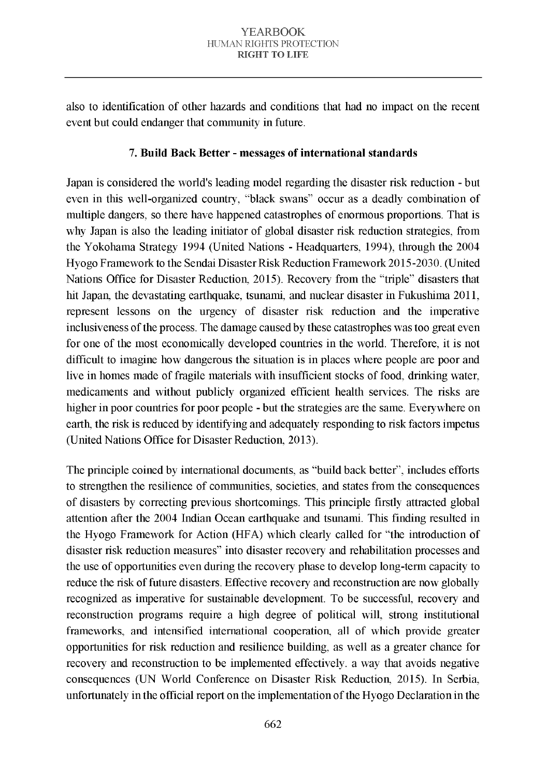also to identification of other hazards and conditions that had no impact on the recent event but could endanger that community in future.

## 7. Build Back Better - messages of international standards

Japan is considered the world's leading model regarding the disaster risk reduction - but even in this well-organized country, "black swans" occur as a deadly combination of multiple dangers, so there have happened catastrophes of enormous proportions. That is why Japan is also the leading initiator of global disaster risk reduction strategies, from the Yokohama Strategy 1994 (United Nations - Headquarters, 1994), through the 2004 Hyogo Framework to the Sendai Disaster Risk Reduction Framework 2015-2030. (United Nations Office for Disaster Reduction, 2015). Recovery from the "triple" disasters that hit Japan, the devastating earthquake, tsunami, and nuclear disaster in Fukushima 2011, represent lessons on the urgency of disaster risk reduction and the imperative in clusiveness of the process. The damage caused by these catastrophes was too great even for one of the most economically developed countries in the world. Therefore, it is not difficult to imagine how dangerous the situation is in places where people are poor and live in homes made of fragile materials with insufficient stocks of food, drinking water, medicaments and without publicly organized efficient health services. The risks are higher in poor countries for poor people - but the strategies are the same. Everywhere on earth, the risk is reduced by identifying and adequately responding to risk factors impetus (United Nations Office for Disaster Reduction, 2013).

The principle coined by international documents, as "build back better", includes efforts to strengthen the resilience of communities, societies, and states from the consequences of disasters by correcting previous shortcomings. This principle firstly attracted global attention after the 2004 Indian Ocean earthquake and tsunami. This finding resulted in the Hyogo Framework for Action (HFA) which clearly called for "the introduction of disaster risk reduction measures" into disaster recovery and rehabilitation processes and the use of opportunities even during the recovery phase to develop long-term capacity to reduce the risk of future disasters. Effective recovery and reconstruction are now globally recognized as imperative for sustainable development. To be successful, recovery and reconstruction programs require a high degree of political will, strong institutional fram eworks, and intensified international cooperation, all of which provide greater opportunities for risk reduction and resilience building, as well as a greater chance for recovery and reconstruction to be implemented effectively. a way that avoids negative consequences (UN World Conference on Disaster Risk Reduction, 2015). In Serbia, unfortunately in the official report on the implementation of the Hyogo Declaration in the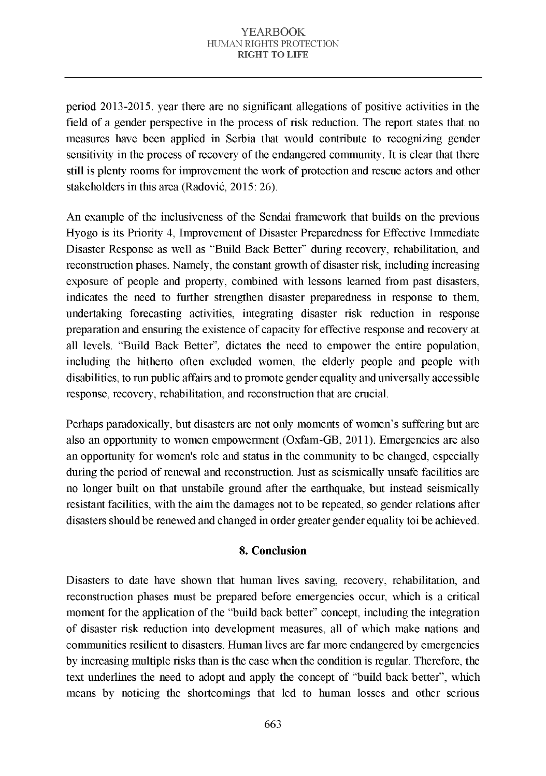period 2013-2015. year there are no significant allegations of positive activities in the field of a gender perspective in the process of risk reduction. The report states that no measures have been applied in Serbia that would contribute to recognizing gender sensitivity in the process of recovery of the endangered community. It is clear that there still is plenty rooms for improvement the work of protection and rescue actors and other stakeholders in this area (Radović, 2015: 26).

An example of the inclusiveness of the Sendai framework that builds on the previous Hyogo is its Priority 4, Improvement of Disaster Preparedness for Effective Immediate Disaster Response as well as "Build Back Better" during recovery, rehabilitation, and reconstruction phases. Namely, the constant growth of disaster risk, including increasing exposure of people and property, combined with lessons learned from past disasters, indicates the need to further strengthen disaster preparedness in response to them, undertaking forecasting activities, integrating disaster risk reduction in response preparation and ensuring the existence of capacity for effective response and recovery at all levels. "Build Back Better", dictates the need to empower the entire population, including the hitherto often excluded women, the elderly people and people with disabilities, to run public affairs and to promote gender equality and universally accessible response, recovery, rehabilitation, and reconstruction that are crucial.

Perhaps paradoxically, but disasters are not only moments of women's suffering but are also an opportunity to women empowerment (Oxfam-GB, 2011). Emergencies are also an opportunity for women's role and status in the community to be changed, especially during the period of renewal and reconstruction. Just as seismically unsafe facilities are no longer built on that unstabile ground after the earthquake, but instead seismically resistant facilities, with the aim the damages not to be repeated, so gender relations after disasters should be renewed and changed in order greater gender equality toi be achieved.

### 8. Conclusion

Disasters to date have shown that human lives saving, recovery, rehabilitation, and reconstruction phases must be prepared before emergencies occur, which is a critical moment for the application of the "build back better" concept, including the integration of disaster risk reduction into development measures, all of which make nations and communities resilient to disasters. Human lives are far more endangered by emergencies by increasing multiple risks than is the case when the condition is regular. Therefore, the text underlines the need to adopt and apply the concept of "build back better", which means by noticing the shortcomings that led to human losses and other serious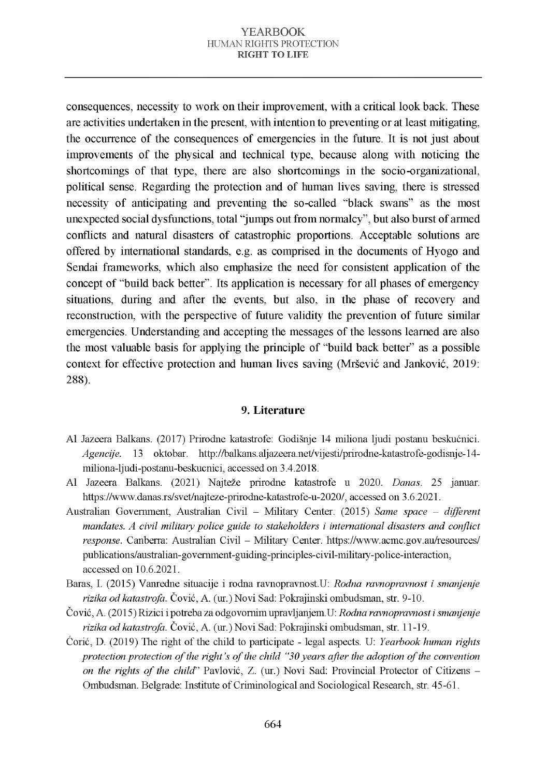consequences, necessity to work on their improvement, with a critical look back. These are activities undertaken in the present, with intention to preventing or at least mitigating. the occurrence of the consequences of emergencies in the future. It is not just about improvements of the physical and technical type, because along with noticing the shortcomings of that type, there are also shortcomings in the socio-organizational, political sense. Regarding the protection and of human lives saving, there is stressed necessity of anticipating and preventing the so-called "black swans" as the most unexpected social dysfunctions, total "jumps out from normalcy", but also burst of armed conflicts and natural disasters of catastrophic proportions. Acceptable solutions are offered by international standards, e.g. as comprised in the documents of Hyogo and Sendai frameworks, which also emphasize the need for consistent application of the concept of "build back better". Its application is necessary for all phases of emergency situations, during and after the events, but also, in the phase of recovery and reconstruction, with the perspective of future validity the prevention of future similar emergencies. Understanding and accepting the messages of the lessons learned are also the most valuable basis for applying the principle of "build back better" as a possible context for effective protection and human lives saving (Mršević and Janković, 2019; 288).

### 9. Literature

- Al Jazeera Balkans. (2017) Prirodne katastrofe: Godišnje 14 miliona ljudi postanu beskućnici. *Agencije.* 13 oktobar. [http://balkans.aljazeera.net/vijesti/prirodne-katastrofe-godisnje-14](http://balkans.aljazeera.net/vijesti/prirodne-katastrofe-godisnje-14-miliona-ljudi-postanu-beskucnici) miliona-ljudi-postanu-beskucnici, accessed on 3.4.2018.
- Al Jazeera Balkans. (2021) Najteže prirodne katastrofe u 2020. *Danas*. 25 januar. https://www.danas.rs/svet/najteze-prirodne-katastrofe-u-2020/, accessed on 3.6.2021.
- Australian Government, Australian Civil Military Center. (2015) Same space different *mandates. A civil military police guide to stakeholders i international disasters and conflict response.* Canberra: Australian Civil - Military Center. https://www.acmc.gov.au/resources/ publications/australian-government-guiding-principles-civil-military-police-interaction, accessed on 10.6.2021.
- Baras, I. (2015) Vanredne situacije i rodna ravnopravnost.U: *Rodna ravnopravnost i smanjenje* rizika od katastrofa. Čović, A. (ur.) Novi Sad: Pokrajinski ombudsman, str. 9-10.
- Č ović, A. (2015) R izici i potreba za odgovornim upravljanjem .U : *R odna ravnopravnost i sm anjenje* rizika od katastrofa. Čović, A. (ur.) Novi Sad: Pokrajinski ombudsman, str. 11-19.
- Ćorić, D. (2019) The right of the child to participate legal aspects. U: *Yearbook human rights protection protection of the right's of the child "30 years after the adoption of the convention on the rights of the child"* Pavlović, Z. (ur.) Novi Sad: Provincial Protector of Citizens – Ombudsman. Belgrade: Institute of Criminological and Sociological Research, str. 45-61.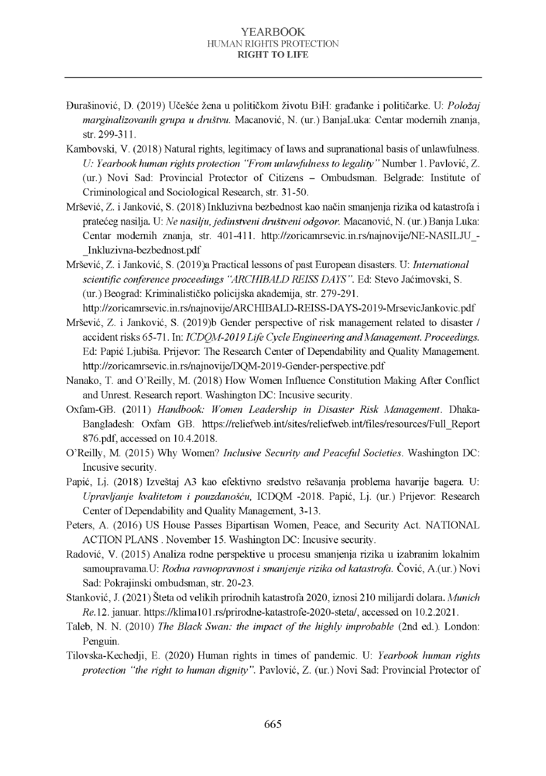- Đ urašinović, D. (2019) U češće žena u političkom životu BiH: građanke i političarke. U: *P oložaj marginalizovanih grupa u društvu.* Macanović, N. (ur.) BanjaLuka: Centar modernih znanja, str. 299-311.
- Kambovski, V. (2018) Natural rights, legitimacy of laws and supranational basis of unlaw fulness. *U: Yearbook human rights protection "From unlawfulness to legality"* Number 1. Pavlović, Z. (ur.) Novi Sad: Provincial Protector of Citizens - Ombudsman. Belgrade: Institute of Criminological and Sociological Research, str. 31-50.
- M ršević, Z. i Janković, S. (2018) Inkluzivna bezbednost kao način sm anjenja rizika od katastrofa i pratećeg nasilja. U: *Ne nasilju, jedinstveni društveni odgovor*. Macanović, N. (ur.) Banja Luka: Centar modernih znanja, str. 401-411. http://zoricamrsevic.in.rs/najnovije/NE-NASILJU -[\\_Inkluzivna-bezbednost.pdf](http://zoricamrsevic.in.rs/najnovije/NE-NASILJU_-_Inkluzivna-bezbednost.pdf)
- Mršević, Z. i Janković, S. (2019)a Practical lessons of past European disasters. U: *International*  $s$ *cientific conference proceedings "ARC HIBALD REISS DAYS"*. Ed: Stevo Jaćimovski, S. (ur.) Beograd: Kriminalističko policijska akademija, str. 279-291.

http://zoricamrsevic.in.rs/najnovije/ARCHIBALD-REISS-DAYS-2019-MrsevicJankovic.pdf

- Mršević, Z. i Janković, S. (2019)b Gender perspective of risk management related to disaster / accident risks 65-71. In: *ICDOM-2019 Life Cycle Engineering and Management. Proceedings.* Ed: Papić Ljubiša. Prijevor: The Research Center of Dependability and Quality Management. http://zoricamrsevic.in.rs/najnovije/DOM-2019-Gender-perspective.pdf
- Nanako, T. and O'Reilly, M. (2018) How Women Influence Constitution Making After Conflict and Unrest. Research report. Washington DC: Incusive security.
- Oxfam-GB. (2011) *Handbook: Women Leadership in Disaster Risk Management*. Dhaka-Bangladesh: Oxfam GB. https://reliefweb.int/sites/reliefweb.int/files/resources/Full\_Report [876.pdf,](https://reliefweb.int/sites/reliefweb.int/files/resources/Full_Report%20%20876.pdf) accessed on 10.4.2018.
- O'Reilly, M. (2015) Why Women? *Inclusive Security and Peaceful Societies*. Washington DC: Incusive security.
- Papić, Lj. (2018) Izveštaj A3 kao efektivno sredstvo rešavanja problema havarije bagera. U: *Upravljanje kvalitetom i pouzdanošću*, ICDQM -2018. Papić, Lj. (ur.) Prijevor: Research Center of Dependability and Quality Management, 3-13.
- [Peters,](https://www.inclusivesecurity.org/author/apeters/) A. (2016) US House Passes Bipartisan Women, Peace, and Security Act. NATIONAL ACTION PLANS . November 15. Washington DC: Incusive security.
- Radović, V. (2015) Analiza rodne perspektive u procesu smanjenja rizika u izabranim lokalnim samoupravama.U: *Rodna ravnopravnost i smanjenje rizika od katastrofa*. Čović, A.(ur.) Novi Sad: Pokrajinski ombudsman, str. 20-23.
- [Stanković,](https://klima101.rs/author/jovanas/) J. (2021) Šteta od velikih prirodnih katastrofa 2020, iznosi 210 m ilijardi dolara. *M unich Re.*12. januar. https://klima101.rs/prirodne-katastrofe-2020-steta/, accessed on 10.2.2021.
- Taleb, N. N. (2010) *The Black Swan: the impact of the highly improbable* (2nd ed.). London: Penguin.
- Tilovska-Kechedji, E. (2020) Human rights in times of pandemic. U: *Yearbook human rights protection "the right to human dignity"*. Pavlović, Z. (ur.) Novi Sad: Provincial Protector of